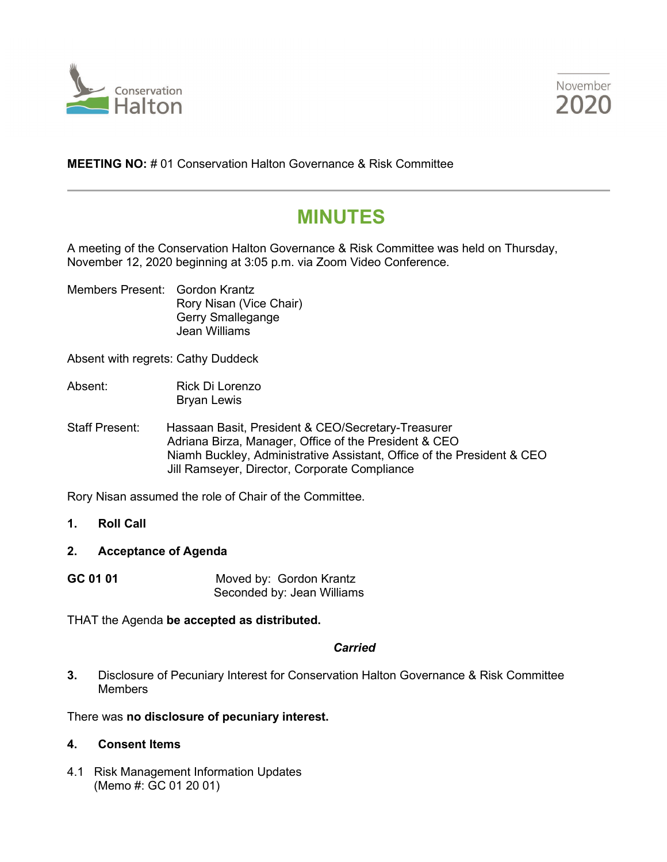



**MEETING NO:** # 01 Conservation Halton Governance & Risk Committee

# **MINUTES**

A meeting of the Conservation Halton Governance & Risk Committee was held on Thursday, November 12, 2020 beginning at 3:05 p.m. via Zoom Video Conference.

Members Present: Gordon Krantz Rory Nisan (Vice Chair) Gerry Smallegange Jean Williams

Absent with regrets: Cathy Duddeck

- Absent: Rick Di Lorenzo Bryan Lewis
- Staff Present: Hassaan Basit, President & CEO/Secretary-Treasurer Adriana Birza, Manager, Office of the President & CEO Niamh Buckley, Administrative Assistant, Office of the President & CEO Jill Ramseyer, Director, Corporate Compliance

Rory Nisan assumed the role of Chair of the Committee.

- **1. Roll Call**
- **2. Acceptance of Agenda**
- **GC 01 01** Moved by: Gordon Krantz Seconded by: Jean Williams

THAT the Agenda **be accepted as distributed.**

#### *Carried*

**3.** Disclosure of Pecuniary Interest for Conservation Halton Governance & Risk Committee **Members** 

# There was **no disclosure of pecuniary interest.**

# **4. Consent Items**

4.1 Risk Management Information Updates (Memo #: GC 01 20 01)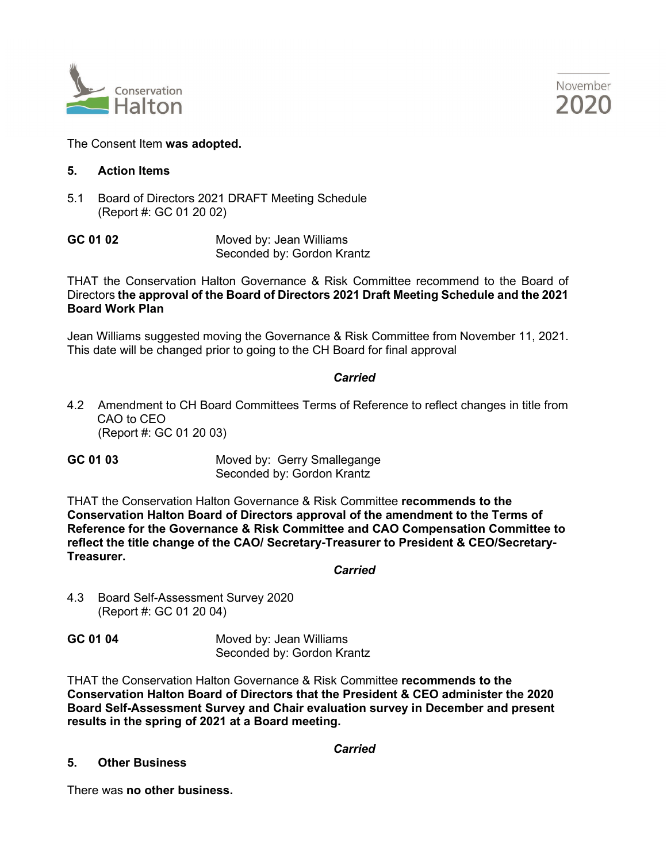



## The Consent Item **was adopted.**

### **5. Action Items**

5.1 Board of Directors 2021 DRAFT Meeting Schedule (Report #: GC 01 20 02)

**GC 01 02** Moved by: Jean Williams Seconded by: Gordon Krantz

THAT the Conservation Halton Governance & Risk Committee recommend to the Board of Directors **the approval of the Board of Directors 2021 Draft Meeting Schedule and the 2021 Board Work Plan**

Jean Williams suggested moving the Governance & Risk Committee from November 11, 2021. This date will be changed prior to going to the CH Board for final approval

#### *Carried*

4.2 Amendment to CH Board Committees Terms of Reference to reflect changes in title from CAO to CEO (Report #: GC 01 20 03)

**GC 01 03** Moved by: Gerry Smallegange Seconded by: Gordon Krantz

THAT the Conservation Halton Governance & Risk Committee **recommends to the Conservation Halton Board of Directors approval of the amendment to the Terms of Reference for the Governance & Risk Committee and CAO Compensation Committee to reflect the title change of the CAO/ Secretary-Treasurer to President & CEO/Secretary-Treasurer.**

*Carried*

4.3 Board Self-Assessment Survey 2020 (Report #: GC 01 20 04)

**GC 01 04** Moved by: Jean Williams Seconded by: Gordon Krantz

THAT the Conservation Halton Governance & Risk Committee **recommends to the Conservation Halton Board of Directors that the President & CEO administer the 2020 Board Self-Assessment Survey and Chair evaluation survey in December and present results in the spring of 2021 at a Board meeting.**

*Carried*

### **5. Other Business**

There was **no other business.**